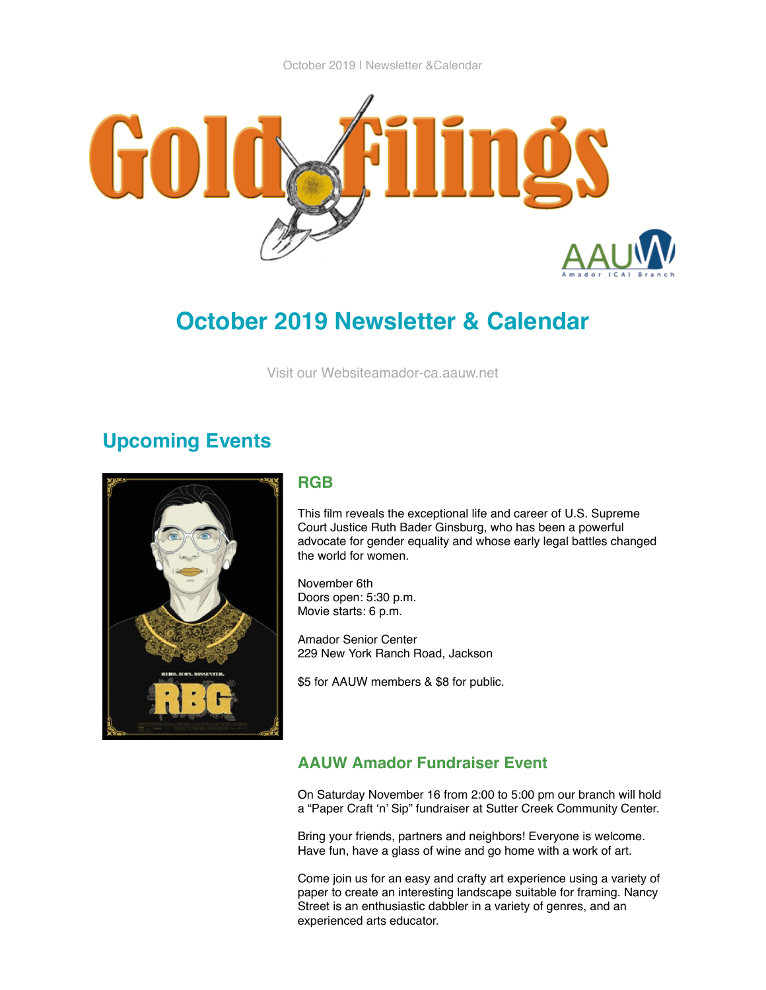

# **October 2019 Newsletter & Calendar**

[Visit our Websiteamador-ca.aauw.net](http://amador-ca.aauw.net/)

## **Upcoming Events**



#### **RGB**

This film reveals the exceptional life and career of U.S. Supreme Court Justice Ruth Bader Ginsburg, who has been a powerful advocate for gender equality and whose early legal battles changed the world for women.

November 6th Doors open: 5:30 p.m. Movie starts: 6 p.m.

Amador Senior Center 229 New York Ranch Road, Jackson

\$5 for AAUW members & \$8 for public.

## **AAUW Amador Fundraiser Event**

On Saturday November 16 from 2:00 to 5:00 pm our branch will hold a "Paper Craft 'n' Sip" fundraiser at Sutter Creek Community Center.

Bring your friends, partners and neighbors! Everyone is welcome. Have fun, have a glass of wine and go home with a work of art.

Come join us for an easy and crafty art experience using a variety of paper to create an interesting landscape suitable for framing. Nancy Street is an enthusiastic dabbler in a variety of genres, and an experienced arts educator.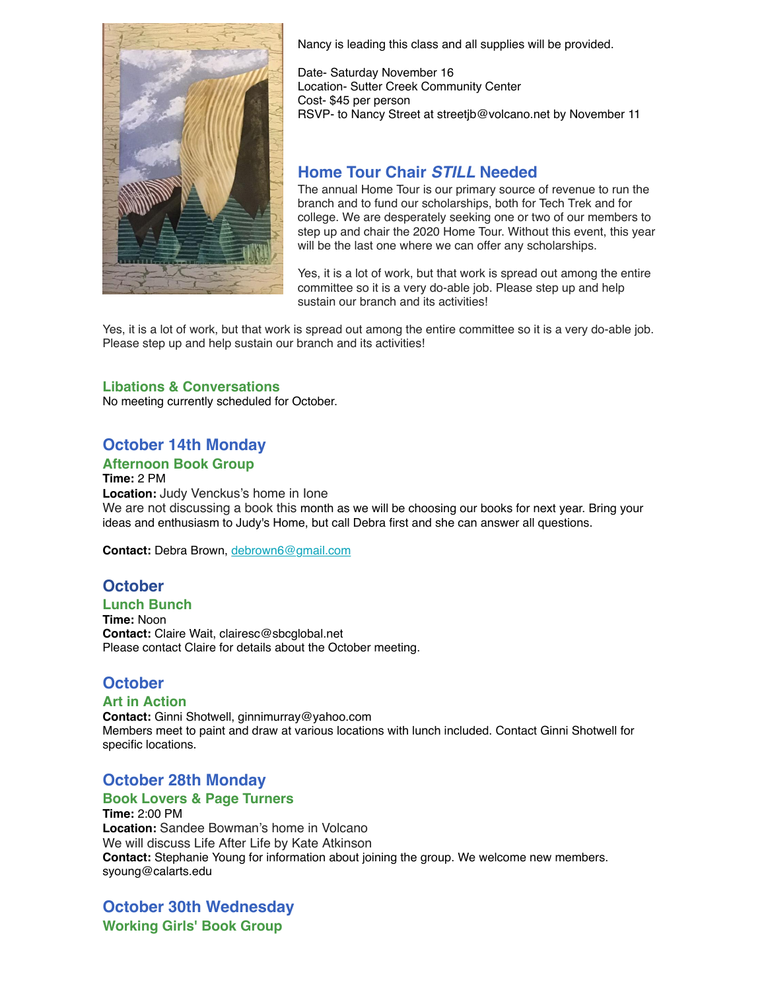

Nancy is leading this class and all supplies will be provided.

Date- Saturday November 16 Location- Sutter Creek Community Center Cost- \$45 per person RSVP- to Nancy Street at streetjb@volcano.net by November 11

## **Home Tour Chair** *STILL* **Needed**

The annual Home Tour is our primary source of revenue to run the branch and to fund our scholarships, both for Tech Trek and for college. We are desperately seeking one or two of our members to step up and chair the 2020 Home Tour. Without this event, this year will be the last one where we can offer any scholarships.

Yes, it is a lot of work, but that work is spread out among the entire committee so it is a very do-able job. Please step up and help sustain our branch and its activities!

Yes, it is a lot of work, but that work is spread out among the entire committee so it is a very do-able job. Please step up and help sustain our branch and its activities!

#### **Libations & Conversations**

No meeting currently scheduled for October.

## **October 14th Monday**

#### **Afternoon Book Group**

**Time:** 2 PM **Location:** Judy Venckus's home in Ione We are not discussing a book this month as we will be choosing our books for next year. Bring your ideas and enthusiasm to Judy's Home, but call Debra first and she can answer all questions.

**Contact:** Debra Brown, [debrown6@gmail.com](mailto:debrown6@gmail.com)

## **October**

**Lunch Bunch**

**Time:** Noon **Contact:** Claire Wait, clairesc@sbcglobal.net Please contact Claire for details about the October meeting.

## **October**

#### **Art in Action**

**Contact:** Ginni Shotwell, ginnimurray@yahoo.com Members meet to paint and draw at various locations with lunch included. Contact Ginni Shotwell for specific locations.

## **October 28th Monday**

#### **Book Lovers & Page Turners**

**Time:** 2:00 PM **Location:** Sandee Bowman's home in Volcano We will discuss Life After Life by Kate Atkinson **Contact:** Stephanie Young for information about joining the group. We welcome new members. syoung@calarts.edu

#### **October 30th Wednesday Working Girls' Book Group**